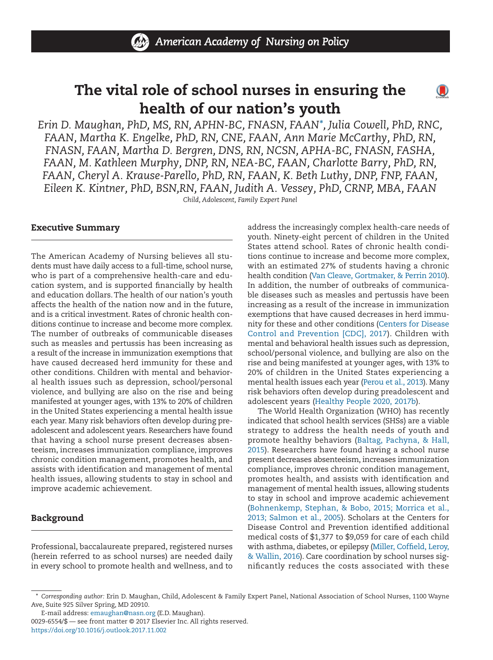

# **The vital role of school nurses in ensuring the health of our nation's youth**

 $\mathbf{O}$ 

*Erin D. Maughan, PhD, MS, RN, APHN-BC, FNASN, FAAN\*, Julia Cowell, PhD, RNC, FAAN, Martha K. Engelke, PhD, RN, CNE, FAAN, Ann Marie McCarthy, PhD, RN, FNASN, FAAN, Martha D. Bergren, DNS, RN, NCSN, APHA-BC, FNASN, FASHA, FAAN, M. Kathleen Murphy, DNP, RN, NEA-BC, FAAN, Charlotte Barry, PhD, RN, FAAN, Cheryl A. Krause-Parello, PhD, RN, FAAN, K. Beth Luthy, DNP, FNP, FAAN, Eileen K. Kintner, PhD, BSN,RN, FAAN, Judith A. Vessey, PhD, CRNP, MBA, FAAN Child, Adolescent, Family Expert Panel*

#### **Executive Summary**

The American Academy of Nursing believes all students must have daily access to a full-time, school nurse, who is part of a comprehensive health-care and education system, and is supported financially by health and education dollars. The health of our nation's youth affects the health of the nation now and in the future, and is a critical investment. Rates of chronic health conditions continue to increase and become more complex. The number of outbreaks of communicable diseases such as measles and pertussis has been increasing as a result of the increase in immunization exemptions that have caused decreased herd immunity for these and other conditions. Children with mental and behavioral health issues such as depression, school/personal violence, and bullying are also on the rise and being manifested at younger ages, with 13% to 20% of children in the United States experiencing a mental health issue each year. Many risk behaviors often develop during preadolescent and adolescent years. Researchers have found that having a school nurse present decreases absenteeism, increases immunization compliance, improves chronic condition management, promotes health, and assists with identification and management of mental health issues, allowing students to stay in school and improve academic achievement.

## **Background**

Professional, baccalaureate prepared, registered nurses (herein referred to as school nurses) are needed daily in every school to promote health and wellness, and to address the increasingly complex health-care needs of youth. Ninety-eight percent of children in the United States attend school. Rates of chronic health conditions continue to increase and become more complex, with an estimated 27% of students having a chronic health condition (Van Cleave, Gortmaker, & Perrin 2010). In addition, the number of outbreaks of communicable diseases such as measles and pertussis have been increasing as a result of the increase in immunization exemptions that have caused decreases in herd immunity for these and other conditions (Centers for Disease Control and Prevention [CDC], 2017). Children with mental and behavioral health issues such as depression, school/personal violence, and bullying are also on the rise and being manifested at younger ages, with 13% to 20% of children in the United States experiencing a mental health issues each year (Perou et al., 2013). Many risk behaviors often develop during preadolescent and adolescent years (Healthy People 2020, 2017b).

The World Health Organization (WHO) has recently indicated that school health services (SHSs) are a viable strategy to address the health needs of youth and promote healthy behaviors (Baltag, Pachyna, & Hall, 2015). Researchers have found having a school nurse present decreases absenteeism, increases immunization compliance, improves chronic condition management, promotes health, and assists with identification and management of mental health issues, allowing students to stay in school and improve academic achievement (Bohnenkemp, Stephan, & Bobo, 2015; Morrica et al., 2013; Salmon et al., 2005). Scholars at the Centers for Disease Control and Prevention identified additional medical costs of \$1,377 to \$9,059 for care of each child with asthma, diabetes, or epilepsy (Miller, Coffield, Leroy, & Wallin, 2016). Care coordination by school nurses significantly reduces the costs associated with these

<sup>\*</sup> *Corresponding author:* Erin D. Maughan, Child, Adolescent & Family Expert Panel, National Association of School Nurses, 1100 Wayne Ave, Suite 925 Silver Spring, MD 20910.

E-mail address: emaughan@nasn.org (E.D. Maughan). 0029-6554/\$ — see front matter © 2017 Elsevier Inc. All rights reserved. https://doi.org/10.1016/j.outlook.2017.11.002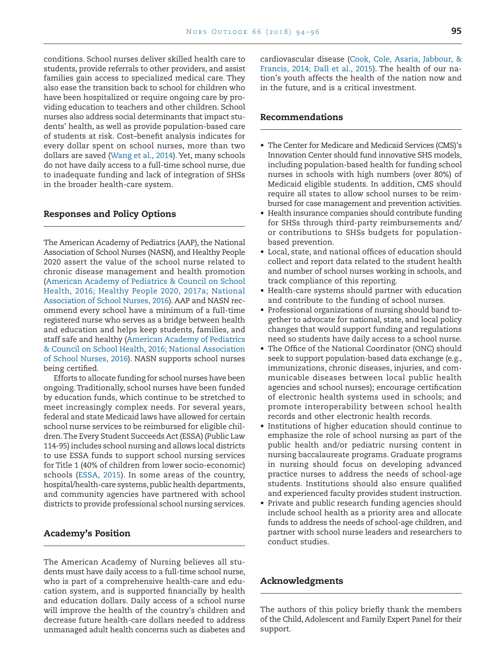conditions. School nurses deliver skilled health care to students, provide referrals to other providers, and assist families gain access to specialized medical care. They also ease the transition back to school for children who have been hospitalized or require ongoing care by providing education to teachers and other children. School nurses also address social determinants that impact students' health, as well as provide population-based care of students at risk. Cost–benefit analysis indicates for every dollar spent on school nurses, more than two dollars are saved (Wang et al., 2014). Yet, many schools do not have daily access to a full-time school nurse, due to inadequate funding and lack of integration of SHSs in the broader health-care system.

#### **Responses and Policy Options**

The American Academy of Pediatrics (AAP), the National Association of School Nurses (NASN), and Healthy People 2020 assert the value of the school nurse related to chronic disease management and health promotion (American Academy of Pediatrics & Council on School Health, 2016; Healthy People 2020, 2017a; National Association of School Nurses, 2016). AAP and NASN recommend every school have a minimum of a full-time registered nurse who serves as a bridge between health and education and helps keep students, families, and staff safe and healthy (American Academy of Pediatrics & Council on School Health, 2016; National Association of School Nurses, 2016). NASN supports school nurses being certified.

Efforts to allocate funding for school nurses have been ongoing. Traditionally, school nurses have been funded by education funds, which continue to be stretched to meet increasingly complex needs. For several years, federal and state Medicaid laws have allowed for certain school nurse services to be reimbursed for eligible children.The Every Student Succeeds Act (ESSA) (Public Law 114-95) includes school nursing and allows local districts to use ESSA funds to support school nursing services for Title 1 (40% of children from lower socio-economic) schools (ESSA, 2015). In some areas of the country, hospital/health-care systems, public health departments, and community agencies have partnered with school districts to provide professional school nursing services.

#### **Academy's Position**

The American Academy of Nursing believes all students must have daily access to a full-time school nurse, who is part of a comprehensive health-care and education system, and is supported financially by health and education dollars. Daily access of a school nurse will improve the health of the country's children and decrease future health-care dollars needed to address unmanaged adult health concerns such as diabetes and

cardiovascular disease (Cook, Cole, Asaria, Jabbour, & Francis, 2014; Dall et al., 2015). The health of our nation's youth affects the health of the nation now and in the future, and is a critical investment.

### **Recommendations**

- The Center for Medicare and Medicaid Services (CMS)'s Innovation Center should fund innovative SHS models, including population-based health for funding school nurses in schools with high numbers (over 80%) of Medicaid eligible students. In addition, CMS should require all states to allow school nurses to be reimbursed for case management and prevention activities.
- Health insurance companies should contribute funding for SHSs through third-party reimbursements and/ or contributions to SHSs budgets for populationbased prevention.
- Local, state, and national offices of education should collect and report data related to the student health and number of school nurses working in schools, and track compliance of this reporting.
- Health-care systems should partner with education and contribute to the funding of school nurses.
- Professional organizations of nursing should band together to advocate for national, state, and local policy changes that would support funding and regulations need so students have daily access to a school nurse.
- The Office of the National Coordinator (ONC) should seek to support population-based data exchange (e.g., immunizations, chronic diseases, injuries, and communicable diseases between local public health agencies and school nurses); encourage certification of electronic health systems used in schools; and promote interoperability between school health records and other electronic health records.
- Institutions of higher education should continue to emphasize the role of school nursing as part of the public health and/or pediatric nursing content in nursing baccalaureate programs. Graduate programs in nursing should focus on developing advanced practice nurses to address the needs of school-age students. Institutions should also ensure qualified and experienced faculty provides student instruction.
- Private and public research funding agencies should include school health as a priority area and allocate funds to address the needs of school-age children, and partner with school nurse leaders and researchers to conduct studies.

#### **Acknowledgments**

The authors of this policy briefly thank the members of the Child, Adolescent and Family Expert Panel for their support.